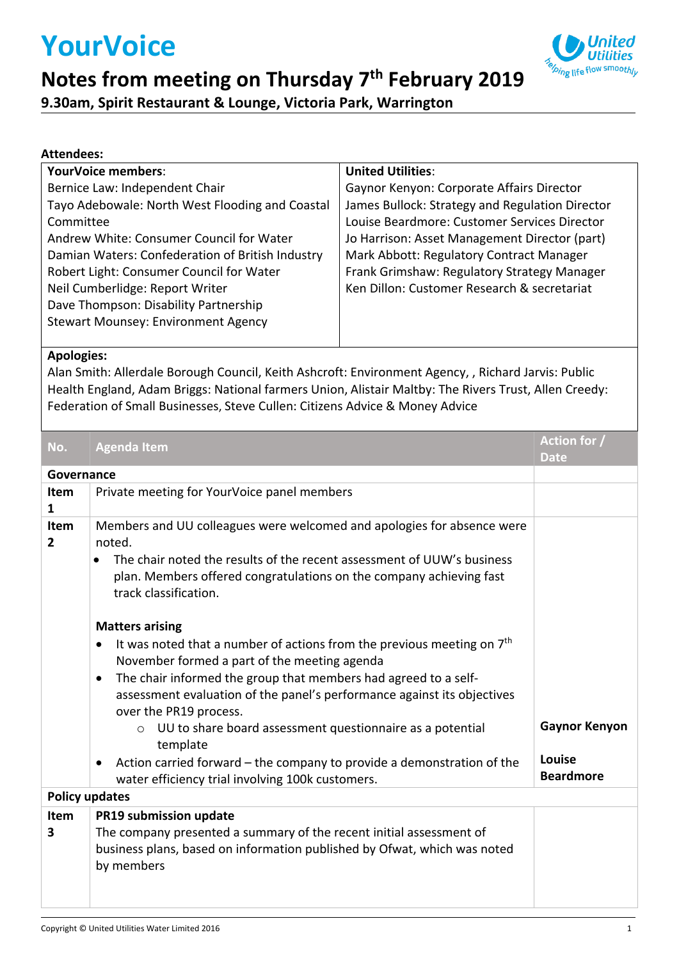# **YourVoice**



### **Notes from meeting on Thursday 7 th February 2019**

**9.30am, Spirit Restaurant & Lounge, Victoria Park, Warrington**

#### **Attendees:**

| <b>YourVoice members:</b>                        | <b>United Utilities:</b>                        |
|--------------------------------------------------|-------------------------------------------------|
| Bernice Law: Independent Chair                   | Gaynor Kenyon: Corporate Affairs Director       |
| Tayo Adebowale: North West Flooding and Coastal  | James Bullock: Strategy and Regulation Director |
| Committee                                        | Louise Beardmore: Customer Services Director    |
| Andrew White: Consumer Council for Water         | Jo Harrison: Asset Management Director (part)   |
| Damian Waters: Confederation of British Industry | Mark Abbott: Regulatory Contract Manager        |
| Robert Light: Consumer Council for Water         | Frank Grimshaw: Regulatory Strategy Manager     |
| Neil Cumberlidge: Report Writer                  | Ken Dillon: Customer Research & secretariat     |
| Dave Thompson: Disability Partnership            |                                                 |
| <b>Stewart Mounsey: Environment Agency</b>       |                                                 |
|                                                  |                                                 |

#### **Apologies:**

Alan Smith: Allerdale Borough Council, Keith Ashcroft: Environment Agency, , Richard Jarvis: Public Health England, Adam Briggs: National farmers Union, Alistair Maltby: The Rivers Trust, Allen Creedy: Federation of Small Businesses, Steve Cullen: Citizens Advice & Money Advice

| No.                   | <b>Agenda Item</b>                                                                                                                                                                      | Action for /<br><b>Date</b> |
|-----------------------|-----------------------------------------------------------------------------------------------------------------------------------------------------------------------------------------|-----------------------------|
| Governance            |                                                                                                                                                                                         |                             |
| Item<br>1             | Private meeting for YourVoice panel members                                                                                                                                             |                             |
| Item<br>$\mathbf{2}$  | Members and UU colleagues were welcomed and apologies for absence were<br>noted.                                                                                                        |                             |
|                       | The chair noted the results of the recent assessment of UUW's business<br>plan. Members offered congratulations on the company achieving fast<br>track classification.                  |                             |
|                       | <b>Matters arising</b>                                                                                                                                                                  |                             |
|                       | It was noted that a number of actions from the previous meeting on $7th$<br>November formed a part of the meeting agenda                                                                |                             |
|                       | The chair informed the group that members had agreed to a self-<br>$\bullet$<br>assessment evaluation of the panel's performance against its objectives<br>over the PR19 process.       |                             |
|                       | UU to share board assessment questionnaire as a potential<br>$\circ$<br>template                                                                                                        | <b>Gaynor Kenyon</b>        |
|                       | Action carried forward - the company to provide a demonstration of the<br>$\bullet$<br>water efficiency trial involving 100k customers.                                                 | Louise<br><b>Beardmore</b>  |
| <b>Policy updates</b> |                                                                                                                                                                                         |                             |
| Item<br>3             | PR19 submission update<br>The company presented a summary of the recent initial assessment of<br>business plans, based on information published by Ofwat, which was noted<br>by members |                             |